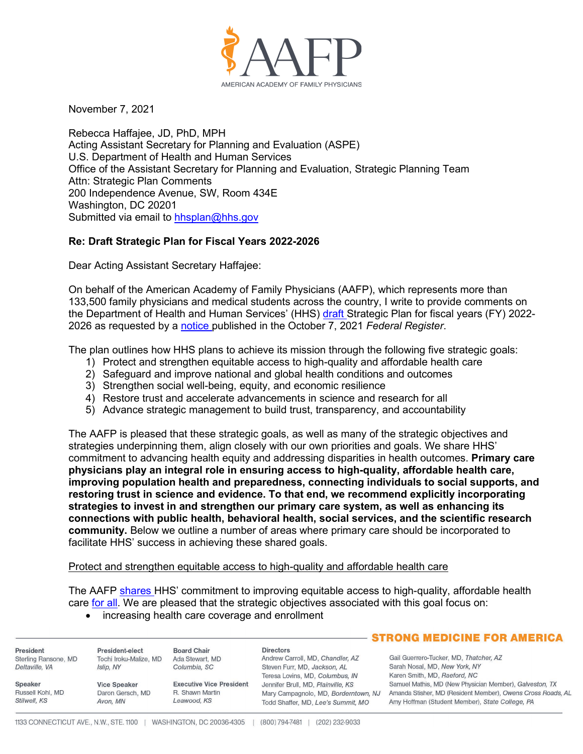

November 7, 2021

Rebecca Haffajee, JD, PhD, MPH Acting Assistant Secretary for Planning and Evaluation (ASPE) U.S. Department of Health and Human Services Office of the Assistant Secretary for Planning and Evaluation, Strategic Planning Team Attn: Strategic Plan Comments 200 Independence Avenue, SW, Room 434E Washington, DC 20201 Submitted via email to [hhsplan@hhs.gov](mailto:hhsplan@hhs.gov)

# **Re: Draft Strategic Plan for Fiscal Years 2022-2026**

Dear Acting Assistant Secretary Haffajee:

On behalf of the American Academy of Family Physicians (AAFP), which represents more than 133,500 family physicians and medical students across the country, I write to provide comments on the Department of Health and Human Services' (HHS) [draft S](https://www.hhs.gov/about/draft-strategic-plan/index.html)trategic Plan for fiscal years (FY) 2022-2026 as requested by a [notice p](https://www.federalregister.gov/documents/2021/10/07/2021-21939/request-for-comments-on-the-draft-department-strategic-plan-for-fy-2022-2026)ublished in the October 7, 2021 *Federal Register*.

The plan outlines how HHS plans to achieve its mission through the following five strategic goals:

- 1) Protect and strengthen equitable access to high-quality and affordable health care
- 2) Safeguard and improve national and global health conditions and outcomes
- 3) Strengthen social well-being, equity, and economic resilience
- 4) Restore trust and accelerate advancements in science and research for all
- 5) Advance strategic management to build trust, transparency, and accountability

The AAFP is pleased that these strategic goals, as well as many of the strategic objectives and strategies underpinning them, align closely with our own priorities and goals. We share HHS' commitment to advancing health equity and addressing disparities in health outcomes. **Primary care physicians play an integral role in ensuring access to high-quality, affordable health care, improving population health and preparedness, connecting individuals to social supports, and restoring trust in science and evidence. To that end, we recommend explicitly incorporating strategies to invest in and strengthen our primary care system, as well as enhancing its connections with public health, behavioral health, social services, and the scientific research community.** Below we outline a number of areas where primary care should be incorporated to facilitate HHS' success in achieving these shared goals.

## Protect and strengthen equitable access to high-quality and affordable health care

The AAFP [shares H](https://www.aafp.org/dam/AAFP/documents/advocacy/coverage/aca/LT-CMS-IntroChiquitaBrooksLaSure-060321.pdf)HS' commitment to improving equitable access to high-quality, affordable health care [for all.](https://www.aafp.org/about/policies/all/health-care-for-all.html) We are pleased that the strategic objectives associated with this goal focus on:

## • increasing health care coverage and enrollment

|                                  |                              |                                 |                                                                            | <b>STRONG MEDICINE FOR AMERICA</b>                                                                             |
|----------------------------------|------------------------------|---------------------------------|----------------------------------------------------------------------------|----------------------------------------------------------------------------------------------------------------|
| President                        | President-elect              | <b>Board Chair</b>              | <b>Directors</b>                                                           |                                                                                                                |
| Sterling Ransone, MD             | Tochi Iroku-Malize, MD       | Ada Stewart, MD                 | Andrew Carroll, MD, Chandler, AZ                                           | Gail Guerrero-Tucker, MD, Thatcher, AZ                                                                         |
| Deltaville, VA                   | Islip, NY                    | Columbia, SC                    | Steven Furr, MD, Jackson, AL                                               | Sarah Nosal, MD, New York, NY                                                                                  |
|                                  |                              |                                 | Teresa Lovins, MD, Columbus, IN                                            | Karen Smith, MD, Raeford, NC                                                                                   |
| Speaker                          | <b>Vice Speaker</b>          | <b>Executive Vice President</b> | Jennifer Brull, MD, Plainville, KS                                         | Samuel Mathis, MD (New Physician Member), Galveston, TX                                                        |
| Russell Kohl, MD<br>Stilwell, KS | Daron Gersch, MD<br>Avon, MN | R. Shawn Martin<br>Leawood, KS  | Mary Campagnolo, MD, Borderntown, NJ<br>Todd Shaffer, MD, Lee's Summit, MO | Amanda Stisher, MD (Resident Member), Owens Cross Roads, AL<br>Amy Hoffman (Student Member), State College, PA |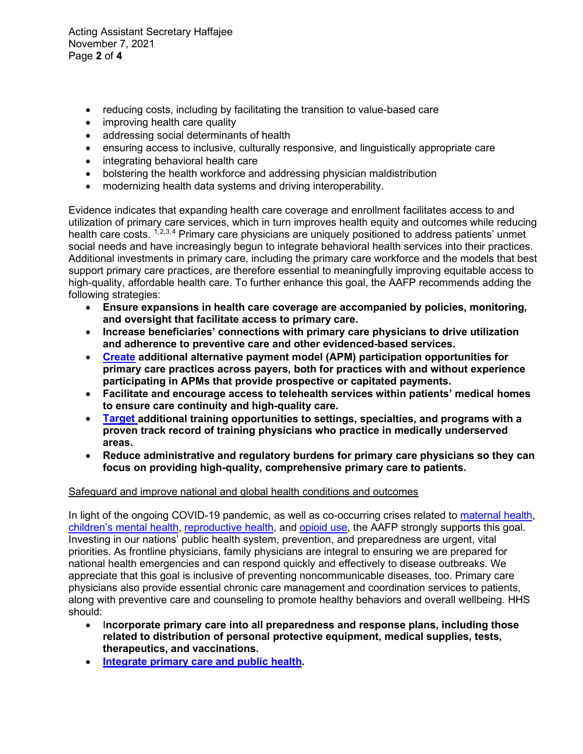Acting Assistant Secretary Haffajee November 7, 2021 Page **2** of **4**

- reducing costs, including by facilitating the transition to value-based care
- improving health care quality
- addressing social determinants of health
- ensuring access to inclusive, culturally responsive, and linguistically appropriate care
- integrating behavioral health care
- bolstering the health workforce and addressing physician maldistribution
- modernizing health data systems and driving interoperability.

Evidence indicates that expanding health care coverage and enrollment facilitates access to and utilization of primary care services, which in turn improves health equity and outcomes while reducing health care costs. <sup>[1,](#page-3-0)[2,](#page-3-1)[3](#page-3-2),[4](#page-3-3)</sup> Primary care physicians are uniquely positioned to address patients' unmet social needs and have increasingly begun to integrate behavioral health services into their practices. Additional investments in primary care, including the primary care workforce and the models that best support primary care practices, are therefore essential to meaningfully improving equitable access to high-quality, affordable health care. To further enhance this goal, the AAFP recommends adding the following strategies:

- **Ensure expansions in health care coverage are accompanied by policies, monitoring, and oversight that facilitate access to primary care.**
- **Increase beneficiaries' connections with primary care physicians to drive utilization and adherence to preventive care and other evidenced-based services.**
- **[Create](https://www.aafp.org/dam/AAFP/documents/advocacy/payment/apms/LT-CMS-FowlerWelcome-031621.pdf) additional alternative payment model (APM) participation opportunities for primary care practices across payers, both for practices with and without experience participating in APMs that provide prospective or capitated payments.**
- **Facilitate and encourage access to telehealth services within patients' medical homes to ensure care continuity and high-quality care.**
- **[Target a](https://www.aafp.org/dam/AAFP/documents/advocacy/workforce/gme/LT-CMS-FY2022IPPSProposedRule-060721.pdf)dditional training opportunities to settings, specialties, and programs with a proven track record of training physicians who practice in medically underserved areas.**
- **Reduce administrative and regulatory burdens for primary care physicians so they can focus on providing high-quality, comprehensive primary care to patients.**

# Safeguard and improve national and global health conditions and outcomes

In light of the ongoing COVID-19 pandemic, as well as co-occurring crises related to [maternal health,](https://www.aafp.org/news/media-center/statements/black-maternal-health-week.html) [children's mental health,](https://www.aafp.org/news/media-center/statements/family-physicians-mental-health-care-children-families.html) [reproductive health,](https://www.aafp.org/content/dam/AAFP/documents/advocacy/prevention/women/ST-G6-OpposingTexasLegislationCriminalizesReproductivePatientCare-090221.pdf) and [opioid use,](https://www.aafp.org/about/policies/all/chronic-pain-management-opiod-misuse.html) the AAFP strongly supports this goal. Investing in our nations' public health system, prevention, and preparedness are urgent, vital priorities. As frontline physicians, family physicians are integral to ensuring we are prepared for national health emergencies and can respond quickly and effectively to disease outbreaks. We appreciate that this goal is inclusive of preventing noncommunicable diseases, too. Primary care physicians also provide essential chronic care management and coordination services to patients, along with preventive care and counseling to promote healthy behaviors and overall wellbeing. HHS should:

- I**ncorporate primary care into all preparedness and response plans, including those related to distribution of personal protective equipment, medical supplies, tests, therapeutics, and vaccinations.**
- **[Integrate primary care and public health.](https://www.aafp.org/about/policies/all/integration-primary-care.html)**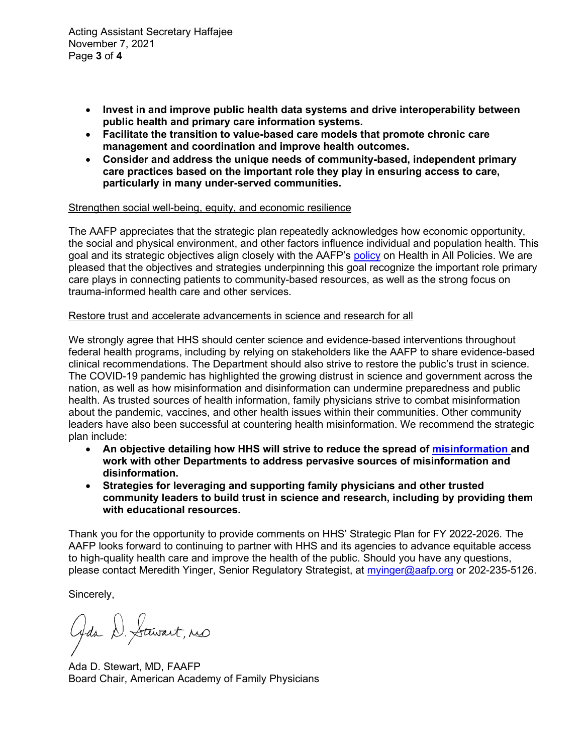Acting Assistant Secretary Haffajee November 7, 2021 Page **3** of **4**

- **Invest in and improve public health data systems and drive interoperability between public health and primary care information systems.**
- **Facilitate the transition to value-based care models that promote chronic care management and coordination and improve health outcomes.**
- **Consider and address the unique needs of community-based, independent primary care practices based on the important role they play in ensuring access to care, particularly in many under-served communities.**

## Strengthen social well-being, equity, and economic resilience

The AAFP appreciates that the strategic plan repeatedly acknowledges how economic opportunity, the social and physical environment, and other factors influence individual and population health. This goal and its strategic objectives align closely with the AAFP's [policy](https://www.aafp.org/about/policies/all/health-allpolicies.html) on Health in All Policies. We are pleased that the objectives and strategies underpinning this goal recognize the important role primary care plays in connecting patients to community-based resources, as well as the strong focus on trauma-informed health care and other services.

## Restore trust and accelerate advancements in science and research for all

We strongly agree that HHS should center science and evidence-based interventions throughout federal health programs, including by relying on stakeholders like the AAFP to share evidence-based clinical recommendations. The Department should also strive to restore the public's trust in science. The COVID-19 pandemic has highlighted the growing distrust in science and government across the nation, as well as how misinformation and disinformation can undermine preparedness and public health. As trusted sources of health information, family physicians strive to combat misinformation about the pandemic, vaccines, and other health issues within their communities. Other community leaders have also been successful at countering health misinformation. We recommend the strategic plan include:

- **An objective detailing how HHS will strive to reduce the spread of [misinformation a](https://www.aafp.org/news/media-center/statements/aafp-praises-us-surgeon-generals-advisory.html)nd work with other Departments to address pervasive sources of misinformation and disinformation.**
- **Strategies for leveraging and supporting family physicians and other trusted community leaders to build trust in science and research, including by providing them with educational resources.**

Thank you for the opportunity to provide comments on HHS' Strategic Plan for FY 2022-2026. The AAFP looks forward to continuing to partner with HHS and its agencies to advance equitable access to high-quality health care and improve the health of the public. Should you have any questions, please contact Meredith Yinger, Senior Regulatory Strategist, at [myinger@aafp.org](mailto:myinger@aafp.org) or 202-235-5126.

Sincerely,

Gaa D. Stewart, no

Ada D. Stewart, MD, FAAFP Board Chair, American Academy of Family Physicians